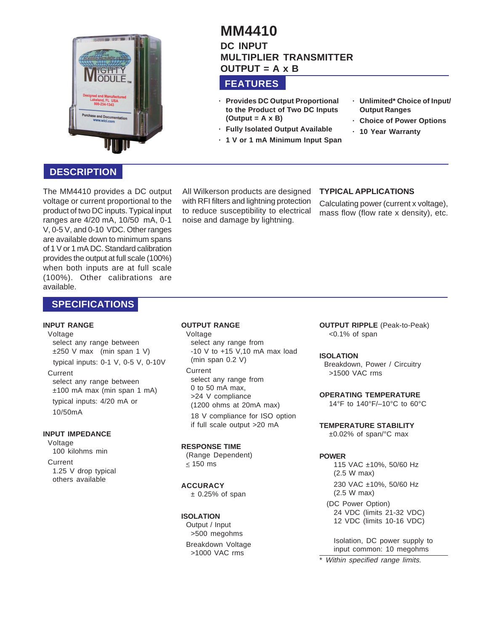

# **MM4410 DC INPUT MULTIPLIER TRANSMITTER OUTPUT = A x B**

## **FEATURES**

- **· Provides DC Output Proportional to the Product of Two DC Inputs (Output = A x B)**
- **· Fully Isolated Output Available**
- **· 1 V or 1 mA Minimum Input Span**
- **· Unlimited\* Choice of Input/ Output Ranges**
- **· Choice of Power Options**
- **· 10 Year Warranty**

## **DESCRIPTION**

The MM4410 provides a DC output voltage or current proportional to the product of two DC inputs. Typical input ranges are 4/20 mA, 10/50 mA, 0-1 V, 0-5 V, and 0-10 VDC. Other ranges are available down to minimum spans of 1 V or 1 mA DC. Standard calibration provides the output at full scale (100%) when both inputs are at full scale (100%). Other calibrations are available.

## **SPECIFICATIONS**

### **INPUT RANGE**

#### Voltage

select any range between ±250 V max (min span 1 V) typical inputs: 0-1 V, 0-5 V, 0-10V

#### Current

select any range between ±100 mA max (min span 1 mA) typical inputs: 4/20 mA or 10/50mA

### **INPUT IMPEDANCE**

Voltage 100 kilohms min Current 1.25 V drop typical others available

All Wilkerson products are designed with RFI filters and lightning protection to reduce susceptibility to electrical noise and damage by lightning.

### **TYPICAL APPLICATIONS**

Calculating power (current x voltage), mass flow (flow rate x density), etc.

### **OUTPUT RANGE**

Voltage select any range from -10 V to +15 V,10 mA max load (min span 0.2 V)

**Current** select any range from 0 to 50 mA max, >24 V compliance (1200 ohms at 20mA max)

18 V compliance for ISO option if full scale output >20 mA

### **RESPONSE TIME**

(Range Dependent)  $\leq$  150 ms

### **ACCURACY**

 $±$  0.25% of span

### **ISOLATION**

Output / Input >500 megohms Breakdown Voltage

>1000 VAC rms

**OUTPUT RIPPLE** (Peak-to-Peak) <0.1% of span

### **ISOLATION**

Breakdown, Power / Circuitry >1500 VAC rms

## **OPERATING TEMPERATURE**

14°F to 140°F/–10°C to 60°C

**TEMPERATURE STABILITY**

±0.02% of span/°C max

### **POWER**

115 VAC ±10%, 50/60 Hz (2.5 W max) 230 VAC ±10%, 50/60 Hz (2.5 W max)

(DC Power Option) 24 VDC (limits 21-32 VDC) 12 VDC (limits 10-16 VDC)

Isolation, DC power supply to input common: 10 megohms

\* Within specified range limits.